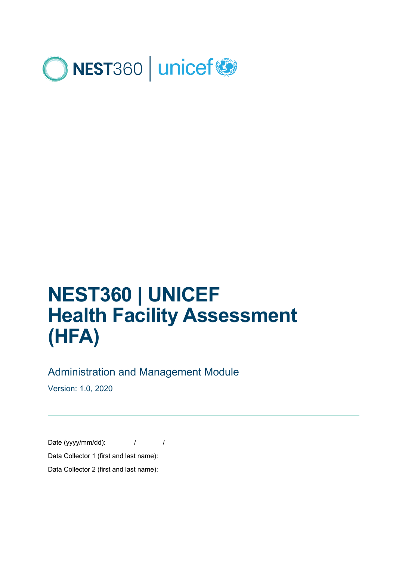

# **NEST360 | UNICEF Health Facility Assessment (HFA)**

#### Administration and Management Module

Version: 1.0, 2020

Date (yyyy/mm/dd):  $/$  / Data Collector 1 (first and last name): Data Collector 2 (first and last name):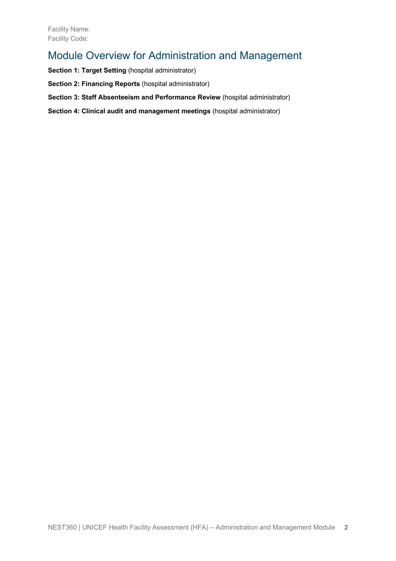### Module Overview for Administration and Management

**Section 1: Target Setting (hospital administrator)** 

**Section 2: Financing Reports** (hospital administrator)

**Section 3: Staff Absenteeism and Performance Review** (hospital administrator)

**Section 4: Clinical audit and management meetings** (hospital administrator)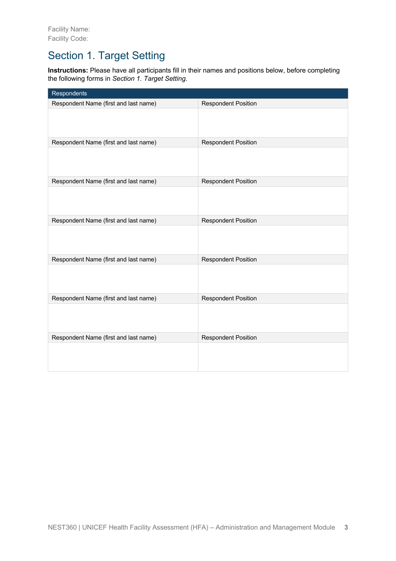# Section 1. Target Setting

**Instructions:** Please have all participants fill in their names and positions below, before completing the following forms in *Section 1. Target Setting*.

| Respondents                           |                            |
|---------------------------------------|----------------------------|
| Respondent Name (first and last name) | <b>Respondent Position</b> |
|                                       |                            |
| Respondent Name (first and last name) | <b>Respondent Position</b> |
|                                       |                            |
| Respondent Name (first and last name) | <b>Respondent Position</b> |
|                                       |                            |
| Respondent Name (first and last name) | <b>Respondent Position</b> |
|                                       |                            |
| Respondent Name (first and last name) | <b>Respondent Position</b> |
|                                       |                            |
| Respondent Name (first and last name) | <b>Respondent Position</b> |
|                                       |                            |
| Respondent Name (first and last name) | <b>Respondent Position</b> |
|                                       |                            |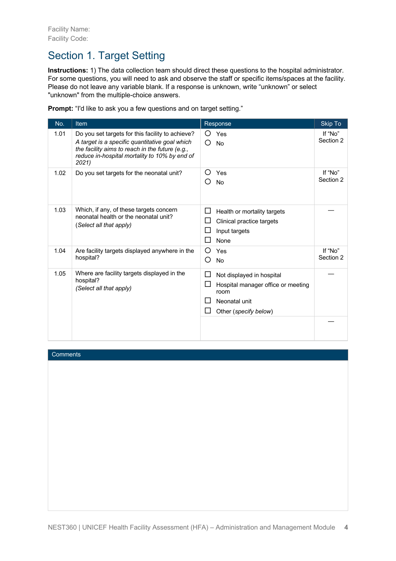# Section 1. Target Setting

**Instructions:** 1) The data collection team should direct these questions to the hospital administrator. For some questions, you will need to ask and observe the staff or specific items/spaces at the facility. Please do not leave any variable blank. If a response is unknown, write "unknown" or select "unknown" from the multiple-choice answers.

**Prompt:** "I'd like to ask you a few questions and on target setting."

| No.  | <b>Item</b>                                                                                                                                                                                                     | Response                                                                                                                                         | Skip To              |
|------|-----------------------------------------------------------------------------------------------------------------------------------------------------------------------------------------------------------------|--------------------------------------------------------------------------------------------------------------------------------------------------|----------------------|
| 1.01 | Do you set targets for this facility to achieve?<br>A target is a specific quantitative goal which<br>the facility aims to reach in the future (e.g.,<br>reduce in-hospital mortality to 10% by end of<br>2021) | Yes<br>O<br><b>No</b><br>( )                                                                                                                     | If "No"<br>Section 2 |
| 1.02 | Do you set targets for the neonatal unit?                                                                                                                                                                       | Yes<br>( )<br><b>No</b><br>()                                                                                                                    | If "No"<br>Section 2 |
| 1.03 | Which, if any, of these targets concern<br>neonatal health or the neonatal unit?<br>(Select all that apply)                                                                                                     | П<br>Health or mortality targets<br>$\mathsf{L}$<br>Clinical practice targets<br>Input targets<br>None                                           |                      |
| 1.04 | Are facility targets displayed anywhere in the<br>hospital?                                                                                                                                                     | Ω<br>Yes<br>No<br>O                                                                                                                              | If "No"<br>Section 2 |
| 1.05 | Where are facility targets displayed in the<br>hospital?<br>(Select all that apply)                                                                                                                             | $\Box$<br>Not displayed in hospital<br>ப<br>Hospital manager office or meeting<br>room<br>Neonatal unit<br>Other (specify below)<br>$\mathbf{L}$ |                      |
|      |                                                                                                                                                                                                                 |                                                                                                                                                  |                      |

#### **Comments**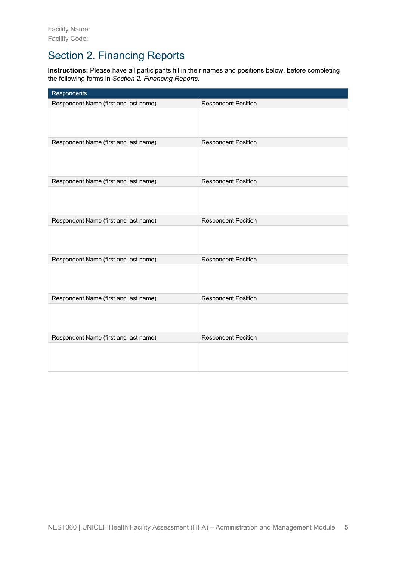# Section 2. Financing Reports

**Instructions:** Please have all participants fill in their names and positions below, before completing the following forms in *Section 2. Financing Reports*.

| Respondents                           |                            |
|---------------------------------------|----------------------------|
| Respondent Name (first and last name) | <b>Respondent Position</b> |
|                                       |                            |
| Respondent Name (first and last name) | <b>Respondent Position</b> |
|                                       |                            |
| Respondent Name (first and last name) | <b>Respondent Position</b> |
|                                       |                            |
| Respondent Name (first and last name) | <b>Respondent Position</b> |
|                                       |                            |
| Respondent Name (first and last name) | <b>Respondent Position</b> |
|                                       |                            |
| Respondent Name (first and last name) | <b>Respondent Position</b> |
|                                       |                            |
| Respondent Name (first and last name) | <b>Respondent Position</b> |
|                                       |                            |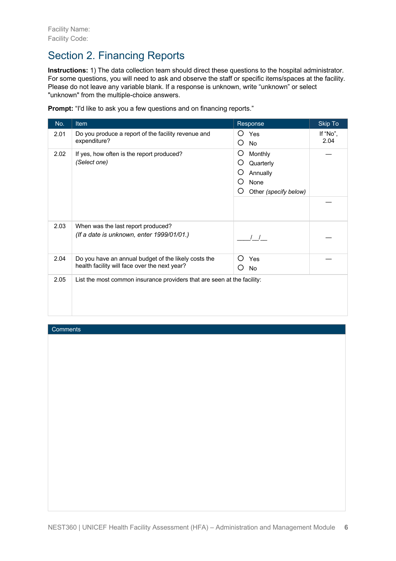# Section 2. Financing Reports

**Instructions:** 1) The data collection team should direct these questions to the hospital administrator. For some questions, you will need to ask and observe the staff or specific items/spaces at the facility. Please do not leave any variable blank. If a response is unknown, write "unknown" or select "unknown" from the multiple-choice answers.

|  |  |  | Prompt: "I'd like to ask you a few questions and on financing reports." |  |  |  |
|--|--|--|-------------------------------------------------------------------------|--|--|--|
|  |  |  |                                                                         |  |  |  |

| No.  | Item                                                                                                  | Response                                                                                   | <b>Skip To</b>   |
|------|-------------------------------------------------------------------------------------------------------|--------------------------------------------------------------------------------------------|------------------|
| 2.01 | Do you produce a report of the facility revenue and<br>expenditure?                                   | Yes<br>O<br>O<br>No                                                                        | If "No",<br>2.04 |
| 2.02 | If yes, how often is the report produced?<br>(Select one)                                             | O<br>Monthly<br>O<br>Quarterly<br>O<br>Annually<br>O<br>None<br>O<br>Other (specify below) |                  |
|      |                                                                                                       |                                                                                            |                  |
| 2.03 | When was the last report produced?<br>(If a date is unknown, enter 1999/01/01.)                       |                                                                                            |                  |
| 2.04 | Do you have an annual budget of the likely costs the<br>health facility will face over the next year? | ( )<br>Yes<br><b>No</b><br>Э                                                               |                  |
| 2.05 | List the most common insurance providers that are seen at the facility:                               |                                                                                            |                  |

**Comments**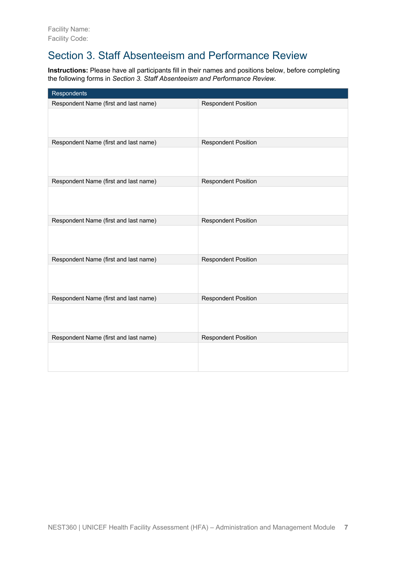# Section 3. Staff Absenteeism and Performance Review

**Instructions:** Please have all participants fill in their names and positions below, before completing the following forms in *Section 3. Staff Absenteeism and Performance Review.*

| Respondents                           |                            |
|---------------------------------------|----------------------------|
| Respondent Name (first and last name) | <b>Respondent Position</b> |
|                                       |                            |
| Respondent Name (first and last name) | <b>Respondent Position</b> |
|                                       |                            |
| Respondent Name (first and last name) | <b>Respondent Position</b> |
|                                       |                            |
| Respondent Name (first and last name) | <b>Respondent Position</b> |
|                                       |                            |
| Respondent Name (first and last name) | <b>Respondent Position</b> |
|                                       |                            |
| Respondent Name (first and last name) | <b>Respondent Position</b> |
|                                       |                            |
| Respondent Name (first and last name) | <b>Respondent Position</b> |
|                                       |                            |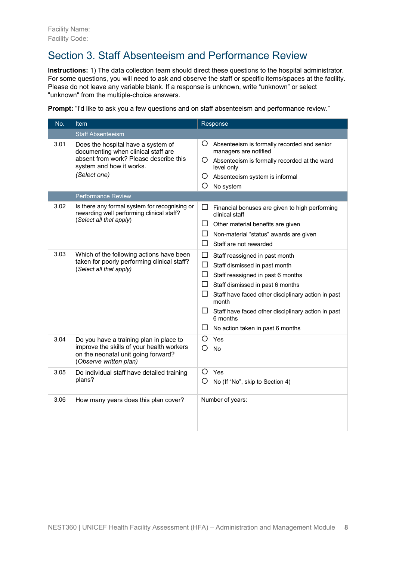# Section 3. Staff Absenteeism and Performance Review

**Instructions:** 1) The data collection team should direct these questions to the hospital administrator. For some questions, you will need to ask and observe the staff or specific items/spaces at the facility. Please do not leave any variable blank. If a response is unknown, write "unknown" or select "unknown" from the multiple-choice answers.

**Prompt:** "I'd like to ask you a few questions and on staff absenteeism and performance review."

| No.  | Item                                                                                                                                                            | Response                                                                                                                                                                                                                                                                                                                                                   |  |  |
|------|-----------------------------------------------------------------------------------------------------------------------------------------------------------------|------------------------------------------------------------------------------------------------------------------------------------------------------------------------------------------------------------------------------------------------------------------------------------------------------------------------------------------------------------|--|--|
|      | <b>Staff Absenteeism</b>                                                                                                                                        |                                                                                                                                                                                                                                                                                                                                                            |  |  |
| 3.01 | Does the hospital have a system of<br>documenting when clinical staff are<br>absent from work? Please describe this<br>system and how it works.<br>(Select one) | Ő<br>Absenteeism is formally recorded and senior<br>managers are notified<br>O Absenteeism is formally recorded at the ward<br>level only<br>Ő<br>Absenteeism system is informal<br>O<br>No system                                                                                                                                                         |  |  |
|      | <b>Performance Review</b>                                                                                                                                       |                                                                                                                                                                                                                                                                                                                                                            |  |  |
| 3.02 | Is there any formal system for recognising or<br>rewarding well performing clinical staff?<br>(Select all that apply)                                           | ப<br>Financial bonuses are given to high performing<br>clinical staff<br>ப<br>Other material benefits are given<br>ப<br>Non-material "status" awards are given<br>$\mathsf{L}$<br>Staff are not rewarded                                                                                                                                                   |  |  |
| 3.03 | Which of the following actions have been<br>taken for poorly performing clinical staff?<br>(Select all that apply)                                              | $\Box$<br>Staff reassigned in past month<br>$\Box$<br>Staff dismissed in past month<br>□<br>Staff reassigned in past 6 months<br>ப<br>Staff dismissed in past 6 months<br>⊔<br>Staff have faced other disciplinary action in past<br>month<br>ப<br>Staff have faced other disciplinary action in past<br>6 months<br>ப<br>No action taken in past 6 months |  |  |
| 3.04 | Do you have a training plan in place to<br>improve the skills of your health workers<br>on the neonatal unit going forward?<br>(Observe written plan)           | O<br>Yes<br>O<br><b>No</b>                                                                                                                                                                                                                                                                                                                                 |  |  |
| 3.05 | Do individual staff have detailed training<br>plans?                                                                                                            | O<br>Yes<br>O<br>No (If "No", skip to Section 4)                                                                                                                                                                                                                                                                                                           |  |  |
| 3.06 | How many years does this plan cover?                                                                                                                            | Number of years:                                                                                                                                                                                                                                                                                                                                           |  |  |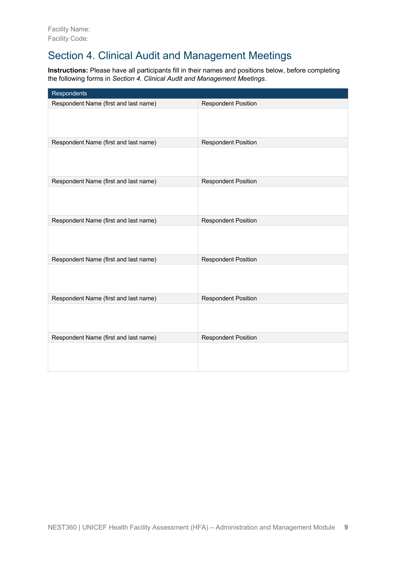# Section 4. Clinical Audit and Management Meetings

**Instructions:** Please have all participants fill in their names and positions below, before completing the following forms in *Section 4. Clinical Audit and Management Meetings.*

| Respondents                           |                            |
|---------------------------------------|----------------------------|
| Respondent Name (first and last name) | <b>Respondent Position</b> |
|                                       |                            |
| Respondent Name (first and last name) | <b>Respondent Position</b> |
|                                       |                            |
| Respondent Name (first and last name) | <b>Respondent Position</b> |
|                                       |                            |
| Respondent Name (first and last name) | <b>Respondent Position</b> |
|                                       |                            |
| Respondent Name (first and last name) | <b>Respondent Position</b> |
|                                       |                            |
| Respondent Name (first and last name) | <b>Respondent Position</b> |
|                                       |                            |
| Respondent Name (first and last name) | <b>Respondent Position</b> |
|                                       |                            |